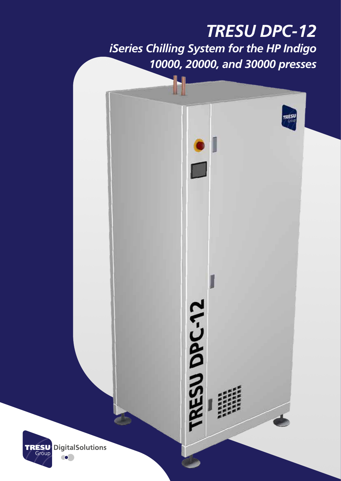